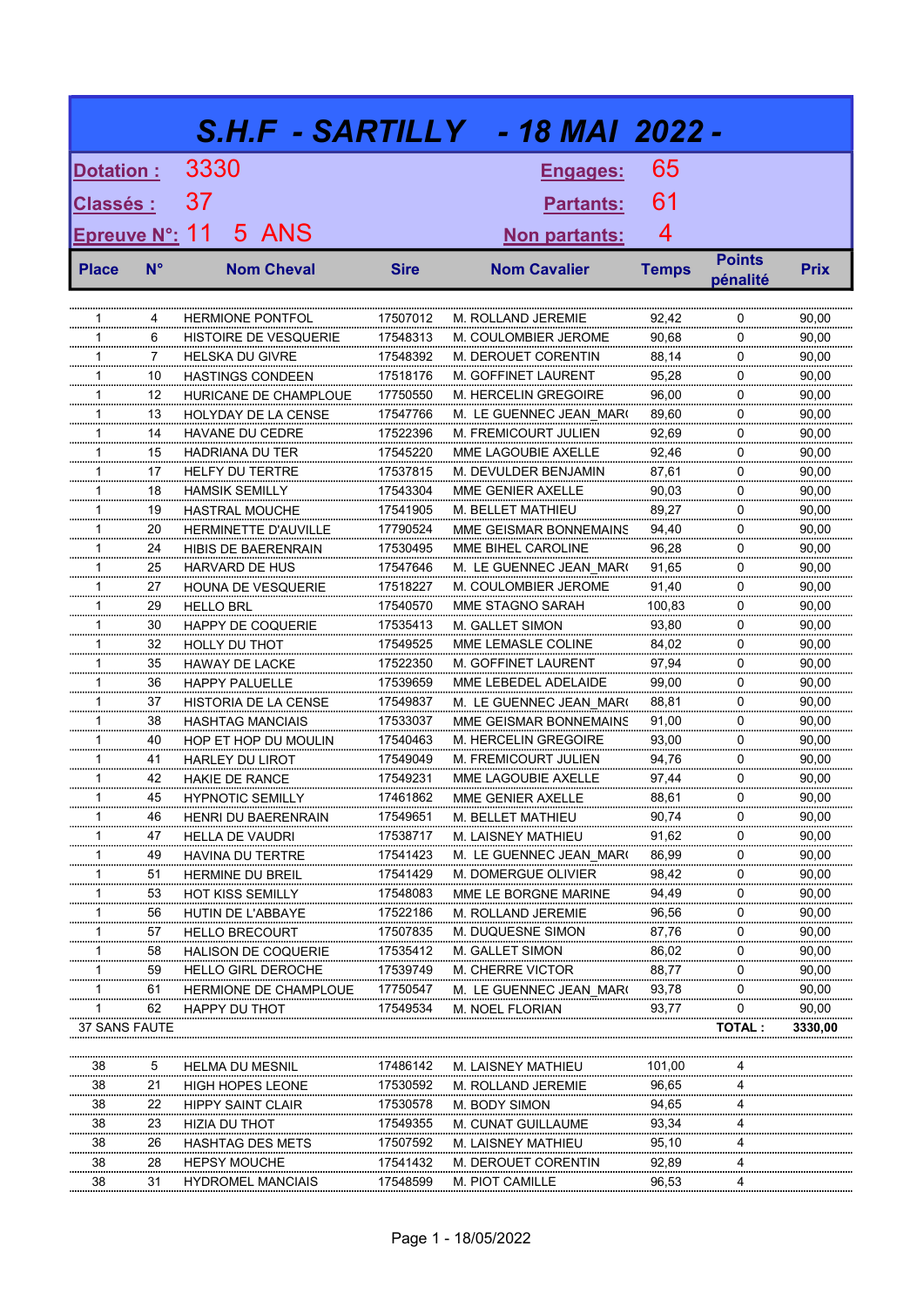|                 |             |                                                  |                      | S.H.F - SARTILLY - 18 MAI 2022 -           |                |               |                |
|-----------------|-------------|--------------------------------------------------|----------------------|--------------------------------------------|----------------|---------------|----------------|
| Dotation :      |             | 3330                                             |                      | Engages:                                   | 65             |               |                |
| <b>Classés:</b> |             | 37                                               |                      | <b>Partants:</b>                           | 61             |               |                |
| Epreuve N°: 11  |             | 5 ANS                                            |                      | Non partants:                              | 4              |               |                |
|                 |             |                                                  |                      |                                            |                | <b>Points</b> |                |
| <b>Place</b>    | $N^{\circ}$ | <b>Nom Cheval</b>                                | <b>Sire</b>          | <b>Nom Cavalier</b>                        | <b>Temps</b>   | pénalité      | <b>Prix</b>    |
|                 | 4           |                                                  |                      |                                            |                | 0             |                |
| 1<br>1          | 6           | <b>HERMIONE PONTFOL</b><br>HISTOIRE DE VESQUERIE | 17507012<br>17548313 | M. ROLLAND JEREMIE<br>M. COULOMBIER JEROME | 92,42<br>90,68 | 0             | 90,00<br>90,00 |
| 1               | 7           | <b>HELSKA DU GIVRE</b>                           | 17548392             | M. DEROUET CORENTIN                        | 88,14          | 0             | 90,00          |
| 1               | 10          | <b>HASTINGS CONDEEN</b>                          | 17518176             | M. GOFFINET LAURENT                        | 95,28          | 0             | 90,00          |
| 1               | 12          | HURICANE DE CHAMPLOUE                            | 17750550             | M. HERCELIN GREGOIRE                       | 96,00          | 0             | 90,00          |
| 1               | 13          | HOLYDAY DE LA CENSE                              | 17547766             | M. LE GUENNEC JEAN MAR(                    | 89,60          | 0             | 90,00          |
| 1               | 14          | HAVANE DU CEDRE                                  | 17522396             | M. FREMICOURT JULIEN                       | 92,69          | 0             | 90,00          |
| 1               | 15          | <b>HADRIANA DU TER</b>                           | 17545220             | MME LAGOUBIE AXELLE                        | 92,46          | 0             | 90,00          |
| 1               | 17          | <b>HELFY DU TERTRE</b>                           | 17537815             | M. DEVULDER BENJAMIN                       | 87,61          | 0             | 90,00          |
| 1               | 18          | <b>HAMSIK SEMILLY</b>                            | 17543304             | MME GENIER AXELLE                          | 90,03          | 0             | 90,00          |
| 1               | 19          | <b>HASTRAL MOUCHE</b>                            | 17541905             | M. BELLET MATHIEU                          | 89,27          | 0             | 90,00          |
| 1               | 20          | <b>HERMINETTE D'AUVILLE</b>                      | 17790524             | MME GEISMAR BONNEMAINS                     | 94.40          | 0             | 90,00          |
| 1               | 24          | HIBIS DE BAERENRAIN                              | 17530495             | MME BIHEL CAROLINE                         | 96,28          | 0             | 90,00          |
| 1               | 25          | HARVARD DE HUS                                   | 17547646             | M. LE GUENNEC JEAN MAR(                    | 91,65          | 0             | 90,00          |
| 1               | 27          | <b>HOUNA DE VESQUERIE</b>                        | 17518227             | M. COULOMBIER JEROME                       | 91,40          | 0             | 90,00          |
| 1               | 29          | <b>HELLO BRL</b>                                 | 17540570             | MME STAGNO SARAH                           | 100,83         | 0             | 90,00          |
| 1               | 30          | <b>HAPPY DE COQUERIE</b>                         | 17535413             | M. GALLET SIMON                            | 93,80          | 0             | 90,00          |
| 1               | 32          | HOLLY DU THOT                                    | 17549525             | MME LEMASLE COLINE                         | 84,02          | 0             | 90,00          |
| 1               | 35          | <b>HAWAY DE LACKE</b>                            | 17522350             | M. GOFFINET LAURENT                        | 97,94          | 0             | 90,00          |
| 1               | 36          | <b>HAPPY PALUELLE</b>                            | 17539659             | MME LEBEDEL ADELAIDE                       | 99.00          | 0             | 90,00          |
| 1               | 37          | HISTORIA DE LA CENSE                             | 17549837             | M. LE GUENNEC JEAN MAR(                    | 88,81          | 0             | 90,00          |
| 1               | 38          | <b>HASHTAG MANCIAIS</b>                          | 17533037             | MME GEISMAR BONNEMAINS                     | 91,00          | 0             | 90,00          |
| 1               | 40          | HOP ET HOP DU MOULIN                             | 17540463             | <b>M. HERCELIN GREGOIRE</b>                | 93,00          | 0             | 90,00          |
| 1               | 41          | <b>HARLEY DU LIROT</b>                           | 17549049             | M. FREMICOURT JULIEN                       | 94,76          | 0             | 90,00          |
| 1               | 42          | HAKIE DE RANCE                                   | 17549231             | MME LAGOUBIE AXELLE                        | 97,44          | 0             | 90,00          |
| 1               | 45          | <b>HYPNOTIC SEMILLY</b>                          | 17461862             | MME GENIER AXELLE                          | 88,61          | ∩             | 90,00          |
| 1               | 46          | <b>HENRI DU BAERENRAIN</b>                       | 17549651             | M. BELLET MATHIEU                          | 90,74          | 0             | 90,00          |
| 1               | 47          | <b>HELLA DE VAUDRI</b>                           | 17538717             | M. LAISNEY MATHIEU                         | 91,62          | 0             | 90,00          |
| 1               | 49          | HAVINA DU TERTRE                                 | 17541423             | M. LE GUENNEC JEAN MAR(                    | 86,99          | 0             | 90,00          |
| 1               | 51          | <b>HERMINE DU BREIL</b>                          | 17541429             | M. DOMERGUE OLIVIER                        | 98,42          | 0             | 90,00          |
| 1               | 53          | HOT KISS SEMILLY                                 | 17548083             | MME LE BORGNE MARINE                       | 94,49          | 0             | 90,00          |
| $\mathbf{1}$    | 56          | HUTIN DE L'ABBAYE                                | 17522186             | M. ROLLAND JEREMIE                         | 96,56          | 0             | 90,00          |
| $\mathbf{1}$    | 57          | <b>HELLO BRECOURT</b>                            | 17507835             | M. DUQUESNE SIMON                          | 87,76          | 0             | 90,00          |
| $\mathbf{1}$    | 58          | HALISON DE COQUERIE                              | 17535412             | M. GALLET SIMON                            | 86,02          | 0             | 90,00          |
| $\mathbf{1}$    | 59          | HELLO GIRL DEROCHE                               | 17539749             | M. CHERRE VICTOR                           | 88,77          | 0             | 90,00          |
| $\mathbf{1}$    | 61          | <b>HERMIONE DE CHAMPLOUE</b>                     | 17750547             | M. LE GUENNEC JEAN MAR(                    | 93,78          | 0             | 90,00          |
| 1               | 62          | HAPPY DU THOT                                    | 17549534             | M. NOEL FLORIAN                            | 93,77          | 0             | 90,00          |
| 37 SANS FAUTE   |             |                                                  |                      |                                            |                | <b>TOTAL:</b> | 3330,00        |
| 38              | 5           | <b>HELMA DU MESNIL</b>                           | 17486142             | M. LAISNEY MATHIEU                         | 101,00         | 4             |                |
| 38              | 21          | <b>HIGH HOPES LEONE</b>                          | 17530592             | M. ROLLAND JEREMIE                         | 96,65          | 4             |                |
| 38              | 22          | <b>HIPPY SAINT CLAIR</b>                         | 17530578             | M. BODY SIMON                              | 94,65          | 4             |                |
| 38              | 23          | HIZIA DU THOT                                    | 17549355             | M. CUNAT GUILLAUME                         | 93,34          | 4             |                |
| 38              | 26          | <b>HASHTAG DES METS</b>                          | 17507592             | M. LAISNEY MATHIEU                         | 95,10          | 4             |                |
| 38              | 28          | <b>HEPSY MOUCHE</b>                              | 17541432             | M. DEROUET CORENTIN                        | 92,89          | 4             |                |
| 38              | 31          | <b>HYDROMEL MANCIAIS</b>                         | 17548599             | M. PIOT CAMILLE                            | 96,53          | 4             |                |